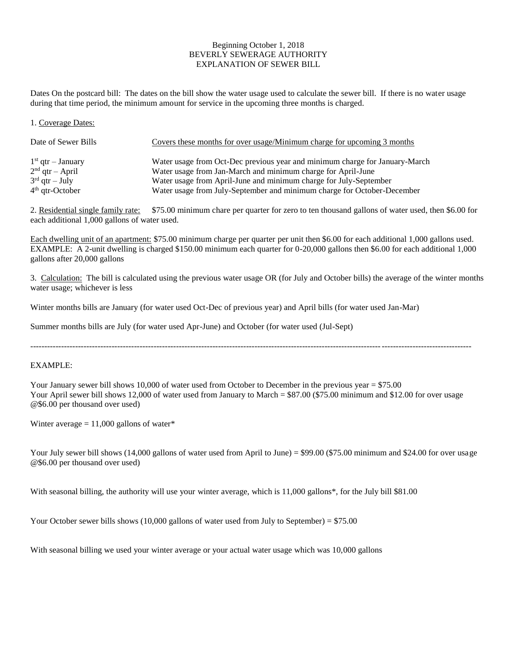# Beginning October 1, 2018 BEVERLY SEWERAGE AUTHORITY EXPLANATION OF SEWER BILL

Dates On the postcard bill: The dates on the bill show the water usage used to calculate the sewer bill. If there is no water usage during that time period, the minimum amount for service in the upcoming three months is charged.

1. Coverage Dates:

| Date of Sewer Bills | Covers these months for over usage/Minimum charge for upcoming 3 months     |
|---------------------|-----------------------------------------------------------------------------|
| $1st$ qtr – January | Water usage from Oct-Dec previous year and minimum charge for January-March |
| $2nd$ qtr – April   | Water usage from Jan-March and minimum charge for April-June                |
| $3rd$ qtr – July    | Water usage from April-June and minimum charge for July-September           |
| $4th$ qtr-October   | Water usage from July-September and minimum charge for October-December     |

2. Residential single family rate: \$75.00 minimum chare per quarter for zero to ten thousand gallons of water used, then \$6.00 for each additional 1,000 gallons of water used.

Each dwelling unit of an apartment: \$75.00 minimum charge per quarter per unit then \$6.00 for each additional 1,000 gallons used. EXAMPLE: A 2-unit dwelling is charged \$150.00 minimum each quarter for 0-20,000 gallons then \$6.00 for each additional 1,000 gallons after 20,000 gallons

3. Calculation: The bill is calculated using the previous water usage OR (for July and October bills) the average of the winter months water usage; whichever is less

Winter months bills are January (for water used Oct-Dec of previous year) and April bills (for water used Jan-Mar)

Summer months bills are July (for water used Apr-June) and October (for water used (Jul-Sept)

-------------------------------------------------------------------------------------------------------------------------------------------------------------

EXAMPLE:

Your January sewer bill shows 10,000 of water used from October to December in the previous year = \$75.00 Your April sewer bill shows 12,000 of water used from January to March = \$87.00 (\$75.00 minimum and \$12.00 for over usage @\$6.00 per thousand over used)

Winter average  $= 11,000$  gallons of water\*

Your July sewer bill shows (14,000 gallons of water used from April to June) = \$99.00 (\$75.00 minimum and \$24.00 for over usage @\$6.00 per thousand over used)

With seasonal billing, the authority will use your winter average, which is 11,000 gallons\*, for the July bill \$81.00

Your October sewer bills shows  $(10,000)$  gallons of water used from July to September) = \$75.00

With seasonal billing we used your winter average or your actual water usage which was 10,000 gallons